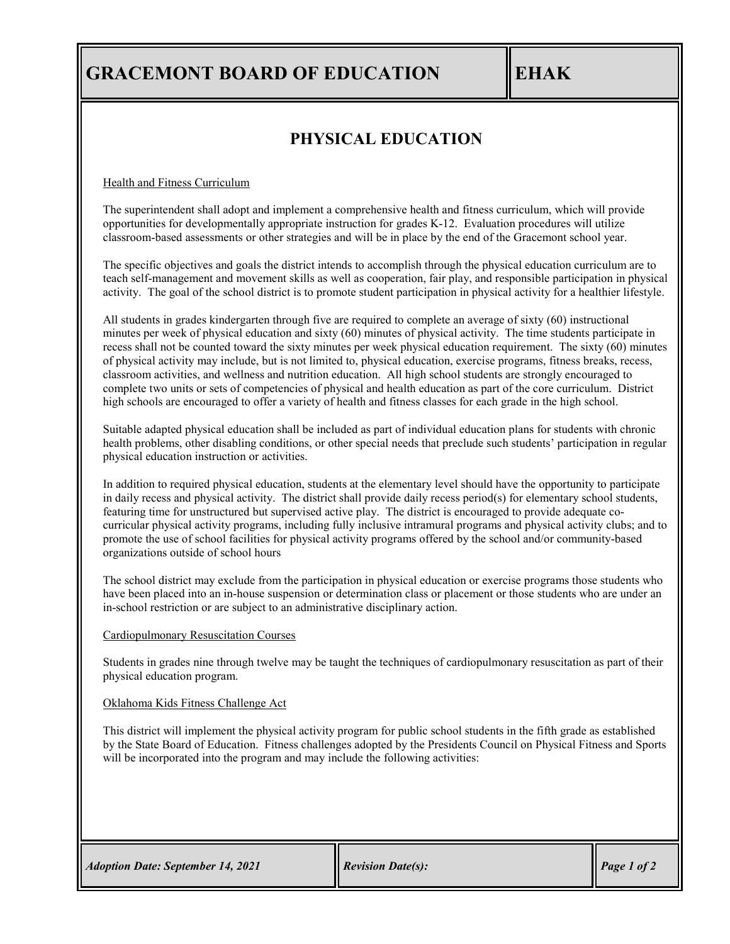# **GRACEMONT BOARD OF EDUCATION EHAK**

### **PHYSICAL EDUCATION**

Health and Fitness Curriculum

The superintendent shall adopt and implement a comprehensive health and fitness curriculum, which will provide opportunities for developmentally appropriate instruction for grades K-12. Evaluation procedures will utilize classroom-based assessments or other strategies and will be in place by the end of the Gracemont school year.

The specific objectives and goals the district intends to accomplish through the physical education curriculum are to teach self-management and movement skills as well as cooperation, fair play, and responsible participation in physical activity. The goal of the school district is to promote student participation in physical activity for a healthier lifestyle.

All students in grades kindergarten through five are required to complete an average of sixty (60) instructional minutes per week of physical education and sixty (60) minutes of physical activity. The time students participate in recess shall not be counted toward the sixty minutes per week physical education requirement. The sixty (60) minutes of physical activity may include, but is not limited to, physical education, exercise programs, fitness breaks, recess, classroom activities, and wellness and nutrition education. All high school students are strongly encouraged to complete two units or sets of competencies of physical and health education as part of the core curriculum. District high schools are encouraged to offer a variety of health and fitness classes for each grade in the high school.

Suitable adapted physical education shall be included as part of individual education plans for students with chronic health problems, other disabling conditions, or other special needs that preclude such students' participation in regular physical education instruction or activities.

In addition to required physical education, students at the elementary level should have the opportunity to participate in daily recess and physical activity. The district shall provide daily recess period(s) for elementary school students, featuring time for unstructured but supervised active play. The district is encouraged to provide adequate cocurricular physical activity programs, including fully inclusive intramural programs and physical activity clubs; and to promote the use of school facilities for physical activity programs offered by the school and/or community-based organizations outside of school hours

The school district may exclude from the participation in physical education or exercise programs those students who have been placed into an in-house suspension or determination class or placement or those students who are under an in-school restriction or are subject to an administrative disciplinary action.

### Cardiopulmonary Resuscitation Courses

Students in grades nine through twelve may be taught the techniques of cardiopulmonary resuscitation as part of their physical education program.

#### Oklahoma Kids Fitness Challenge Act

This district will implement the physical activity program for public school students in the fifth grade as established by the State Board of Education. Fitness challenges adopted by the Presidents Council on Physical Fitness and Sports will be incorporated into the program and may include the following activities: